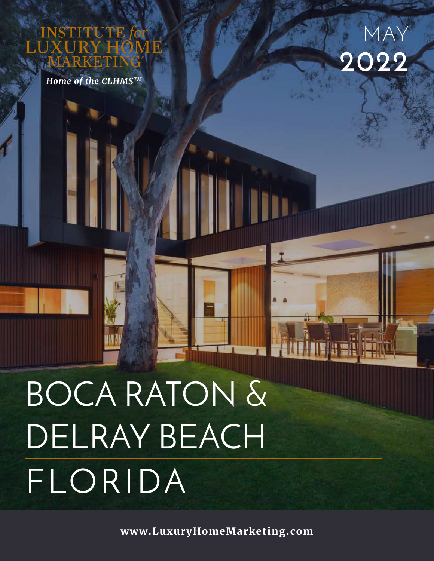UTE

*Home of the CLHMSTM*



# BOCA RATON & DELRAY BEACH FLORIDA

**www.LuxuryHomeMarketing.com**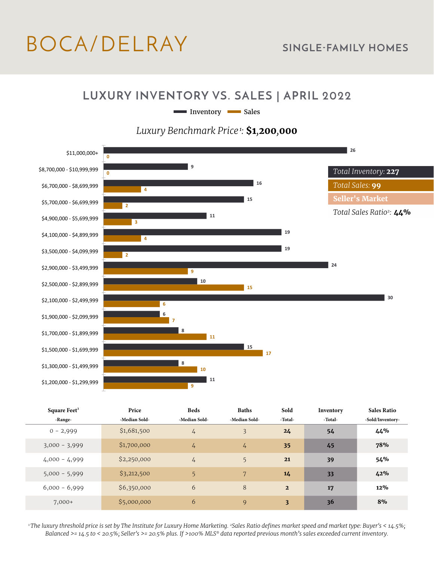# BOCA/DELRAY **SINGLE-FAMILY HOMES**

#### **LUXURY INVENTORY VS. SALES | APRIL 2022**

Inventory Sales

#### *Luxury Benchmark Price<sup>1</sup>:* **\$1***,***200***,***000**



| Square Feet <sup>3</sup> | Price         | <b>Beds</b>   | <b>Baths</b>  | Sold                    | Inventory | <b>Sales Ratio</b> |
|--------------------------|---------------|---------------|---------------|-------------------------|-----------|--------------------|
| -Range-                  | -Median Sold- | -Median Sold- | -Median Sold- | -Total-                 | -Total-   | -Sold/Inventory-   |
| $0 - 2,999$              | \$1,681,500   | 4             | 3             | 24                      | 54        | 44%                |
| $3,000 - 3,999$          | \$1,700,000   | 4             | 4             | 35                      | 45        | 78%                |
| $4,000 - 4,999$          | \$2,250,000   | 4             | 5             | 21                      | 39        | 54%                |
| $5,000 - 5,999$          | \$3,212,500   | 5             | 7             | 14                      | 33        | 42%                |
| $6,000 - 6,999$          | \$6,350,000   | 6             | 8             | $\overline{2}$          | 17        | 12%                |
| $7,000+$                 | \$5,000,000   | 6             | 9             | $\overline{\mathbf{3}}$ | 36        | 8%                 |

*1 The luxury threshold price is set by The Institute for Luxury Home Marketing. 2Sales Ratio defines market speed and market type: Buyer's < 14.5%; Balanced >= 14.5 to < 20.5%; Seller's >= 20.5% plus. If >100% MLS® data reported previous month's sales exceeded current inventory.*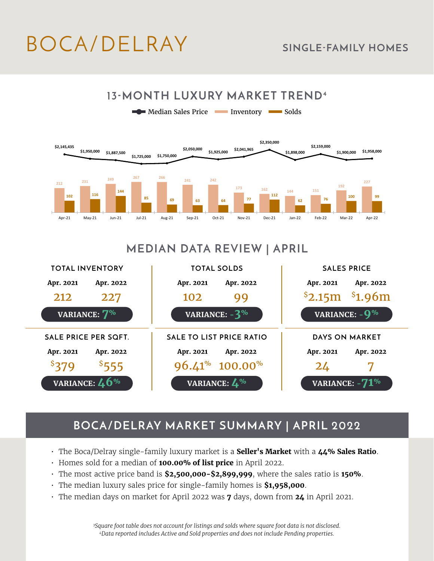# BOCA/DELRAY **SINGLE-FAMILY HOMES**



### **MEDIAN DATA REVIEW | APRIL**



### **BOCA/DELRAY MARKET SUMMARY | APRIL 2022**

- The Boca/Delray single-family luxury market is a **Seller's Market** with a **44% Sales Ratio**.
- Homes sold for a median of **100.00% of list price** in April 2022.
- The most active price band is **\$2,500,000-\$2,899,999**, where the sales ratio is **150%**.
- The median luxury sales price for single-family homes is **\$1,958,000**.
- The median days on market for April 2022 was **7** days, down from **24** in April 2021.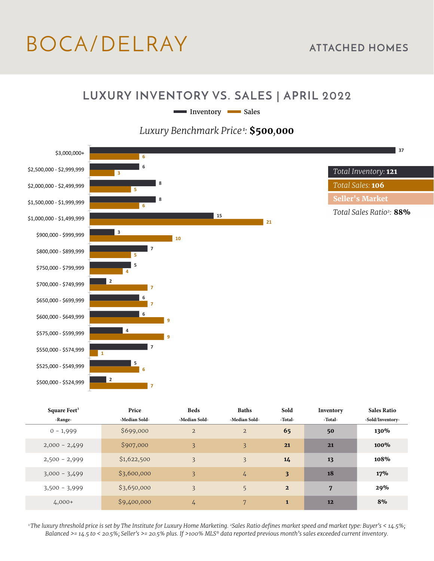# BOCA/DELRAY **ATTACHED HOMES**

#### **LUXURY INVENTORY VS. SALES | APRIL 2022**

Inventory Sales

#### *Luxury Benchmark Price<sup>1</sup>:* **\$500***,***000**



| Square Feet <sup>3</sup> | Price         | <b>Beds</b>    | <b>Baths</b>   | Sold                    | Inventory | <b>Sales Ratio</b> |
|--------------------------|---------------|----------------|----------------|-------------------------|-----------|--------------------|
| -Range-                  | -Median Sold- | -Median Sold-  | -Median Sold-  | -Total-                 | -Total-   | -Sold/Inventory-   |
| $0 - 1,999$              | \$699,000     | $\overline{2}$ | $\overline{2}$ | 65                      | 50        | 130%               |
| $2,000 - 2,499$          | \$907,000     | $\overline{3}$ | 3              | 21                      | 21        | $100\%$            |
| $2,500 - 2,999$          | \$1,622,500   | $\overline{3}$ | 3              | 14                      | 13        | 108%               |
| $3,000 - 3,499$          | \$3,600,000   | 3              | $\frac{1}{4}$  | $\overline{\mathbf{3}}$ | 18        | 17%                |
| $3,500 - 3,999$          | \$3,650,000   | 3              | 5              | $\overline{2}$          | 7         | 29%                |
| $4,000+$                 | \$9,400,000   | 4              | 7              | $\mathbf{1}$            | 12        | 8%                 |

*1 The luxury threshold price is set by The Institute for Luxury Home Marketing. 2Sales Ratio defines market speed and market type: Buyer's < 14.5%; Balanced >= 14.5 to < 20.5%; Seller's >= 20.5% plus. If >100% MLS® data reported previous month's sales exceeded current inventory.*